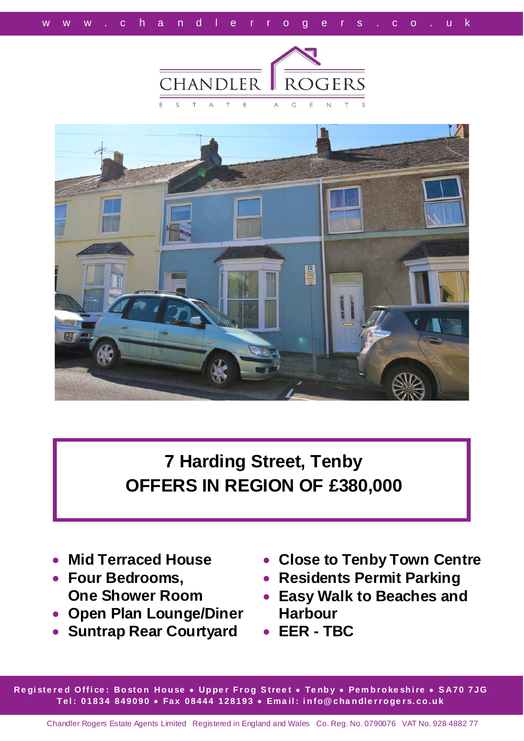



# **7 Harding Street, Tenby OFFERS IN REGION OF £380,000**

- **Mid Terraced House**
- **Four Bedrooms, One Shower Room**
- **Open Plan Lounge/Diner**
- **Suntrap Rear Courtyard**
- **Close to Tenby Town Centre**
- **Residents Permit Parking**
- **Easy Walk to Beaches and Harbour**
- **EER - TBC**

**Re gi ste r e d O ffi ce : Bo sto n Ho u se Up pe r F r o g S tree t Te nb y Pem b r o ke sh i re S A70 7JG T el : 01834 849090 Fax 08444 128193 Ema il : i n fo@ cha n dle r r o ge r s. co .u k**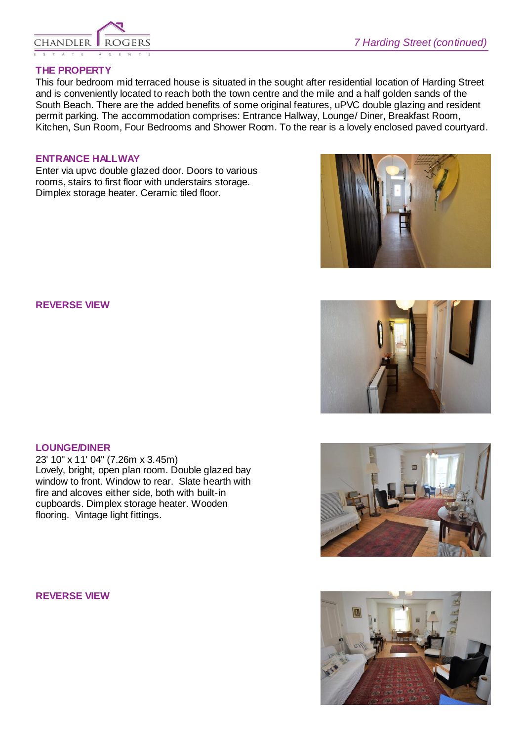

## **THE PROPERTY**

This four bedroom mid terraced house is situated in the sought after residential location of Harding Street and is conveniently located to reach both the town centre and the mile and a half golden sands of the South Beach. There are the added benefits of some original features, uPVC double glazing and resident permit parking. The accommodation comprises: Entrance Hallway, Lounge/ Diner, Breakfast Room, Kitchen, Sun Room, Four Bedrooms and Shower Room. To the rear is a lovely enclosed paved courtyard.

#### **ENTRANCE HALLWAY**

Enter via upvc double glazed door. Doors to various rooms, stairs to first floor with understairs storage. Dimplex storage heater. Ceramic tiled floor.

## **REVERSE VIEW**

## **LOUNGE/DINER**

23' 10" x 11' 04" (7.26m x 3.45m) Lovely, bright, open plan room. Double glazed bay window to front. Window to rear. Slate hearth with fire and alcoves either side, both with built-in cupboards. Dimplex storage heater. Wooden flooring. Vintage light fittings.

**REVERSE VIEW**







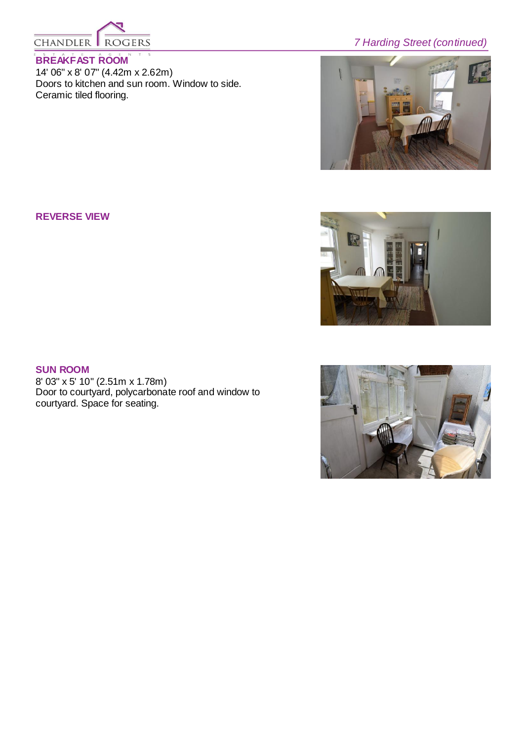

## **BREAKFAST ROOM**

14' 06" x 8' 07" (4.42m x 2.62m) Doors to kitchen and sun room. Window to side. Ceramic tiled flooring.

## *7 Harding Street (continued)*



## **REVERSE VIEW**



## **SUN ROOM**

8' 03" x 5' 10" (2.51m x 1.78m) Door to courtyard, polycarbonate roof and window to courtyard. Space for seating.

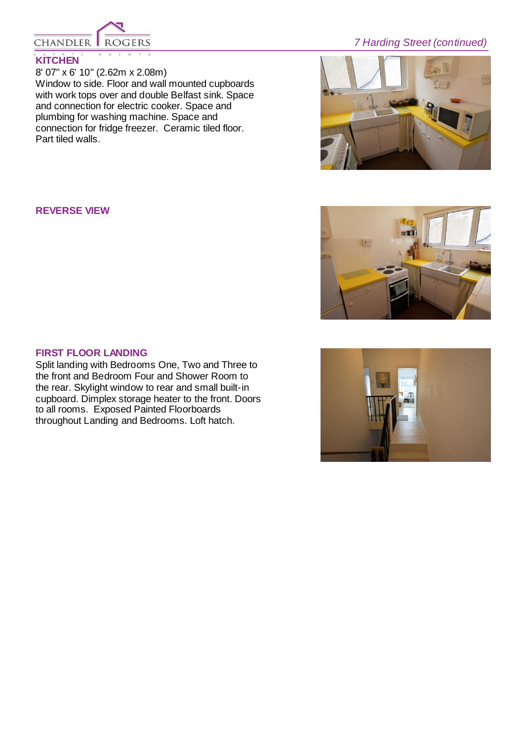

## **KITCHEN**

8' 07" x 6' 10" (2.62m x 2.08m) Window to side. Floor and wall mounted cupboards with work tops over and double Belfast sink. Space and connection for electric cooker. Space and plumbing for washing machine. Space and connection for fridge freezer. Ceramic tiled floor. Part tiled walls.

## *7 Harding Street (continued)*



#### **REVERSE VIEW**



## **FIRST FLOOR LANDING**

Split landing with Bedrooms One, Two and Three to the front and Bedroom Four and Shower Room to the rear. Skylight window to rear and small built-in cupboard. Dimplex storage heater to the front. Doors to all rooms. Exposed Painted Floorboards throughout Landing and Bedrooms. Loft hatch.

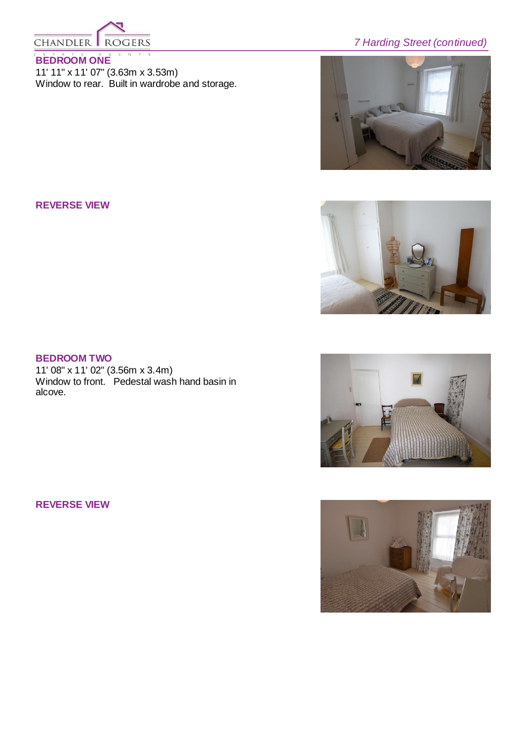

## **BEDROOM ONE**

11' 11" x 11' 07" (3.63m x 3.53m) Window to rear. Built in wardrobe and storage.

## *7 Harding Street (continued)*



#### **REVERSE VIEW**



## **BEDROOM TWO**

11' 08" x 11' 02" (3.56m x 3.4m) Window to front. Pedestal wash hand basin in alcove.

**REVERSE VIEW**



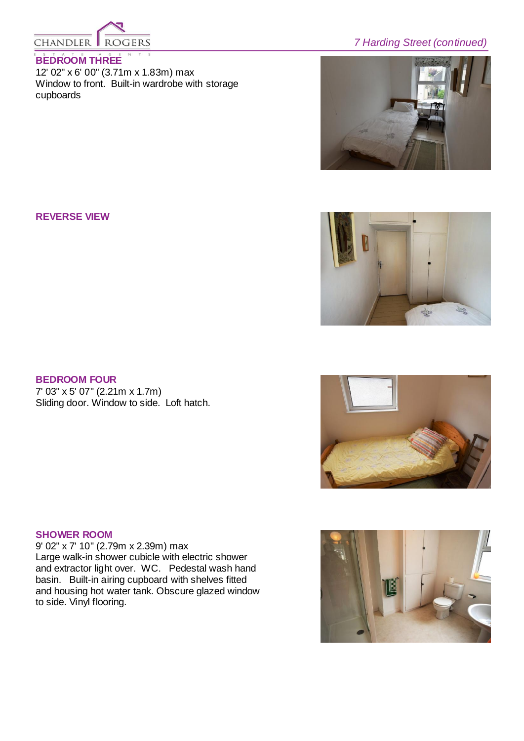

## **BEDROOM THREE**

12' 02" x 6' 00" (3.71m x 1.83m) max Window to front. Built-in wardrobe with storage cupboards

## *7 Harding Street (continued)*



**REVERSE VIEW**



#### **BEDROOM FOUR**

7' 03" x 5' 07" (2.21m x 1.7m) Sliding door. Window to side. Loft hatch.

## **SHOWER ROOM**

9' 02" x 7' 10" (2.79m x 2.39m) max Large walk-in shower cubicle with electric shower and extractor light over. WC. Pedestal wash hand basin. Built-in airing cupboard with shelves fitted and housing hot water tank. Obscure glazed window to side. Vinyl flooring.



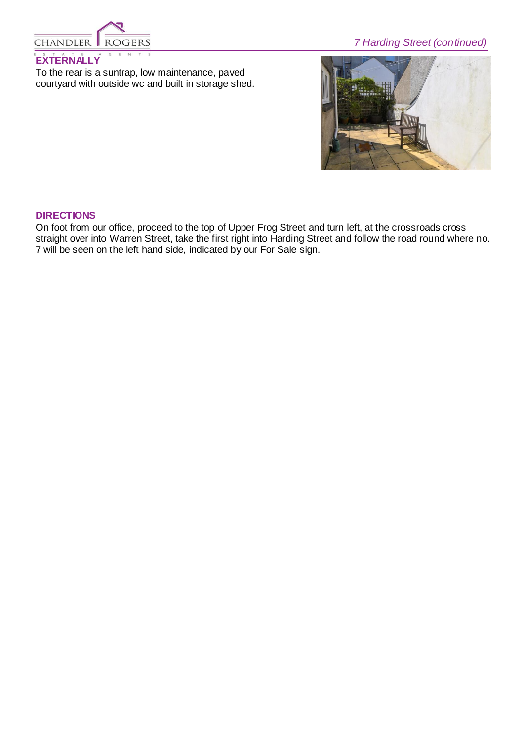

## *7 Harding Street (continued)*

## **EXTERNALLY**

To the rear is a suntrap, low maintenance, paved courtyard with outside wc and built in storage shed.



#### **DIRECTIONS**

On foot from our office, proceed to the top of Upper Frog Street and turn left, at the crossroads cross straight over into Warren Street, take the first right into Harding Street and follow the road round where no. 7 will be seen on the left hand side, indicated by our For Sale sign.